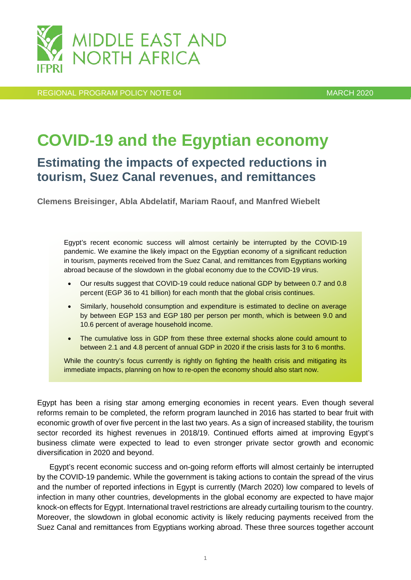

REGIONAL PROGRAM POLICY NOTE 04 MARCH 2020

# **COVID-19 and the Egyptian economy**

## **Estimating the impacts of expected reductions in tourism, Suez Canal revenues, and remittances**

**Clemens Breisinger, Abla Abdelatif, Mariam Raouf, and Manfred Wiebelt**

Egypt's recent economic success will almost certainly be interrupted by the COVID-19 pandemic. We examine the likely impact on the Egyptian economy of a significant reduction in tourism, payments received from the Suez Canal, and remittances from Egyptians working abroad because of the slowdown in the global economy due to the COVID-19 virus.

- Our results suggest that COVID-19 could reduce national GDP by between 0.7 and 0.8 percent (EGP 36 to 41 billion) for each month that the global crisis continues.
- Similarly, household consumption and expenditure is estimated to decline on average by between EGP 153 and EGP 180 per person per month, which is between 9.0 and 10.6 percent of average household income.
- The cumulative loss in GDP from these three external shocks alone could amount to between 2.1 and 4.8 percent of annual GDP in 2020 if the crisis lasts for 3 to 6 months.

While the country's focus currently is rightly on fighting the health crisis and mitigating its immediate impacts, planning on how to re-open the economy should also start now.

Egypt has been a rising star among emerging economies in recent years. Even though several reforms remain to be completed, the reform program launched in 2016 has started to bear fruit with economic growth of over five percent in the last two years. As a sign of increased stability, the tourism sector recorded its highest revenues in 2018/19. Continued efforts aimed at improving Egypt's business climate were expected to lead to even stronger private sector growth and economic diversification in 2020 and beyond.

Egypt's recent economic success and on-going reform efforts will almost certainly be interrupted by the COVID-19 pandemic. While the government is taking actions to contain the spread of the virus and the number of reported infections in Egypt is currently (March 2020) low compared to levels of infection in many other countries, developments in the global economy are expected to have major knock-on effects for Egypt. International travel restrictions are already curtailing tourism to the country. Moreover, the slowdown in global economic activity is likely reducing payments received from the Suez Canal and remittances from Egyptians working abroad. These three sources together account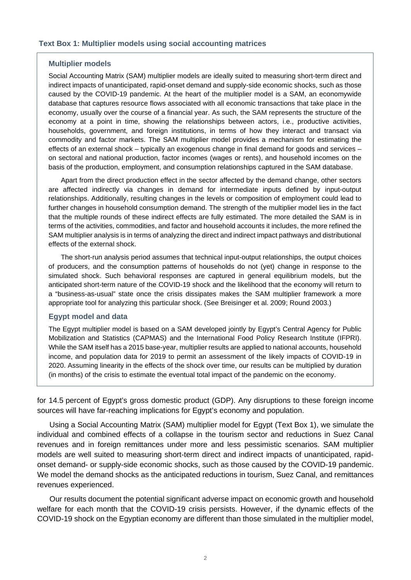#### **Multiplier models**

Social Accounting Matrix (SAM) multiplier models are ideally suited to measuring short-term direct and indirect impacts of unanticipated, rapid-onset demand and supply-side economic shocks, such as those caused by the COVID-19 pandemic. At the heart of the multiplier model is a SAM, an economywide database that captures resource flows associated with all economic transactions that take place in the economy, usually over the course of a financial year. As such, the SAM represents the structure of the economy at a point in time, showing the relationships between actors, i.e., productive activities, households, government, and foreign institutions, in terms of how they interact and transact via commodity and factor markets. The SAM multiplier model provides a mechanism for estimating the effects of an external shock – typically an exogenous change in final demand for goods and services – on sectoral and national production, factor incomes (wages or rents), and household incomes on the basis of the production, employment, and consumption relationships captured in the SAM database.

Apart from the direct production effect in the sector affected by the demand change, other sectors are affected indirectly via changes in demand for intermediate inputs defined by input-output relationships. Additionally, resulting changes in the levels or composition of employment could lead to further changes in household consumption demand. The strength of the multiplier model lies in the fact that the multiple rounds of these indirect effects are fully estimated. The more detailed the SAM is in terms of the activities, commodities, and factor and household accounts it includes, the more refined the SAM multiplier analysis is in terms of analyzing the direct and indirect impact pathways and distributional effects of the external shock.

The short-run analysis period assumes that technical input-output relationships, the output choices of producers, and the consumption patterns of households do not (yet) change in response to the simulated shock. Such behavioral responses are captured in general equilibrium models, but the anticipated short-term nature of the COVID-19 shock and the likelihood that the economy will return to a "business-as-usual" state once the crisis dissipates makes the SAM multiplier framework a more appropriate tool for analyzing this particular shock. (See Breisinger et al. 2009; Round 2003.)

#### **Egypt model and data**

The Egypt multiplier model is based on a SAM developed jointly by Egypt's Central Agency for Public Mobilization and Statistics (CAPMAS) and the International Food Policy Research Institute (IFPRI). While the SAM itself has a 2015 base-year, multiplier results are applied to national accounts, household income, and population data for 2019 to permit an assessment of the likely impacts of COVID-19 in 2020. Assuming linearity in the effects of the shock over time, our results can be multiplied by duration (in months) of the crisis to estimate the eventual total impact of the pandemic on the economy.

for 14.5 percent of Egypt's gross domestic product (GDP). Any disruptions to these foreign income sources will have far-reaching implications for Egypt's economy and population.

Using a Social Accounting Matrix (SAM) multiplier model for Egypt (Text Box 1), we simulate the individual and combined effects of a collapse in the tourism sector and reductions in Suez Canal revenues and in foreign remittances under more and less pessimistic scenarios. SAM multiplier models are well suited to measuring short-term direct and indirect impacts of unanticipated, rapidonset demand- or supply-side economic shocks, such as those caused by the COVID-19 pandemic. We model the demand shocks as the anticipated reductions in tourism, Suez Canal, and remittances revenues experienced.

Our results document the potential significant adverse impact on economic growth and household welfare for each month that the COVID-19 crisis persists. However, if the dynamic effects of the COVID-19 shock on the Egyptian economy are different than those simulated in the multiplier model,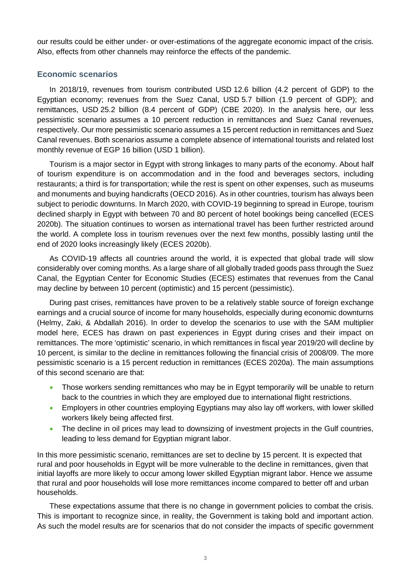our results could be either under- or over-estimations of the aggregate economic impact of the crisis. Also, effects from other channels may reinforce the effects of the pandemic.

## **Economic scenarios**

In 2018/19, revenues from tourism contributed USD 12.6 billion (4.2 percent of GDP) to the Egyptian economy; revenues from the Suez Canal, USD 5.7 billion (1.9 percent of GDP); and remittances, USD 25.2 billion (8.4 percent of GDP) (CBE 2020). In the analysis here, our less pessimistic scenario assumes a 10 percent reduction in remittances and Suez Canal revenues, respectively. Our more pessimistic scenario assumes a 15 percent reduction in remittances and Suez Canal revenues. Both scenarios assume a complete absence of international tourists and related lost monthly revenue of EGP 16 billion (USD 1 billion).

Tourism is a major sector in Egypt with strong linkages to many parts of the economy. About half of tourism expenditure is on accommodation and in the food and beverages sectors, including restaurants; a third is for transportation; while the rest is spent on other expenses, such as museums and monuments and buying handicrafts (OECD 2016). As in other countries, tourism has always been subject to periodic downturns. In March 2020, with COVID-19 beginning to spread in Europe, tourism declined sharply in Egypt with between 70 and 80 percent of hotel bookings being cancelled (ECES 2020b). The situation continues to worsen as international travel has been further restricted around the world. A complete loss in tourism revenues over the next few months, possibly lasting until the end of 2020 looks increasingly likely (ECES 2020b).

As COVID-19 affects all countries around the world, it is expected that global trade will slow considerably over coming months. As a large share of all globally traded goods pass through the Suez Canal, the Egyptian Center for Economic Studies (ECES) estimates that revenues from the Canal may decline by between 10 percent (optimistic) and 15 percent (pessimistic).

During past crises, remittances have proven to be a relatively stable source of foreign exchange earnings and a crucial source of income for many households, especially during economic downturns (Helmy, Zaki, & Abdallah 2016). In order to develop the scenarios to use with the SAM multiplier model here, ECES has drawn on past experiences in Egypt during crises and their impact on remittances. The more 'optimistic' scenario, in which remittances in fiscal year 2019/20 will decline by 10 percent, is similar to the decline in remittances following the financial crisis of 2008/09. The more pessimistic scenario is a 15 percent reduction in remittances (ECES 2020a). The main assumptions of this second scenario are that:

- Those workers sending remittances who may be in Egypt temporarily will be unable to return back to the countries in which they are employed due to international flight restrictions.
- Employers in other countries employing Egyptians may also lay off workers, with lower skilled workers likely being affected first.
- The decline in oil prices may lead to downsizing of investment projects in the Gulf countries, leading to less demand for Egyptian migrant labor.

In this more pessimistic scenario, remittances are set to decline by 15 percent. It is expected that rural and poor households in Egypt will be more vulnerable to the decline in remittances, given that initial layoffs are more likely to occur among lower skilled Egyptian migrant labor. Hence we assume that rural and poor households will lose more remittances income compared to better off and urban households.

These expectations assume that there is no change in government policies to combat the crisis. This is important to recognize since, in reality, the Government is taking bold and important action. As such the model results are for scenarios that do not consider the impacts of specific government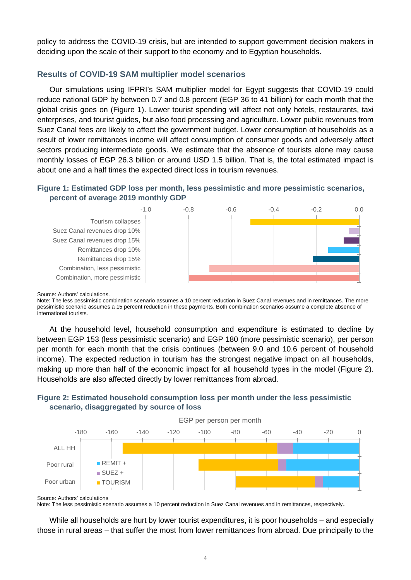policy to address the COVID-19 crisis, but are intended to support government decision makers in deciding upon the scale of their support to the economy and to Egyptian households.

## **Results of COVID-19 SAM multiplier model scenarios**

Our simulations using IFPRI's SAM multiplier model for Egypt suggests that COVID-19 could reduce national GDP by between 0.7 and 0.8 percent (EGP 36 to 41 billion) for each month that the global crisis goes on (Figure 1). Lower tourist spending will affect not only hotels, restaurants, taxi enterprises, and tourist guides, but also food processing and agriculture. Lower public revenues from Suez Canal fees are likely to affect the government budget. Lower consumption of households as a result of lower remittances income will affect consumption of consumer goods and adversely affect sectors producing intermediate goods. We estimate that the absence of tourists alone may cause monthly losses of EGP 26.3 billion or around USD 1.5 billion. That is, the total estimated impact is about one and a half times the expected direct loss in tourism revenues.

## **Figure 1: Estimated GDP loss per month, less pessimistic and more pessimistic scenarios, percent of average 2019 monthly GDP**



#### Source: Authors' calculations.

Note: The less pessimistic combination scenario assumes a 10 percent reduction in Suez Canal revenues and in remittances. The more pessimistic scenario assumes a 15 percent reduction in these payments. Both combination scenarios assume a complete absence of international tourists.

At the household level, household consumption and expenditure is estimated to decline by between EGP 153 (less pessimistic scenario) and EGP 180 (more pessimistic scenario), per person per month for each month that the crisis continues (between 9.0 and 10.6 percent of household income). The expected reduction in tourism has the strongest negative impact on all households, making up more than half of the economic impact for all household types in the model (Figure 2). Households are also affected directly by lower remittances from abroad.

## **Figure 2: Estimated household consumption loss per month under the less pessimistic scenario, disaggregated by source of loss**



Source: Authors' calculations

Note: The less pessimistic scenario assumes a 10 percent reduction in Suez Canal revenues and in remittances, respectively..

While all households are hurt by lower tourist expenditures, it is poor households – and especially those in rural areas – that suffer the most from lower remittances from abroad. Due principally to the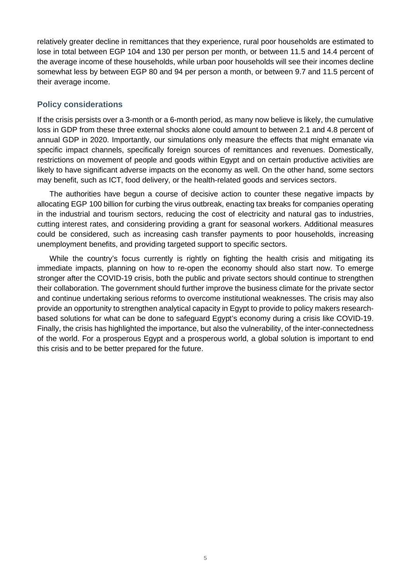relatively greater decline in remittances that they experience, rural poor households are estimated to lose in total between EGP 104 and 130 per person per month, or between 11.5 and 14.4 percent of the average income of these households, while urban poor households will see their incomes decline somewhat less by between EGP 80 and 94 per person a month, or between 9.7 and 11.5 percent of their average income.

## **Policy considerations**

If the crisis persists over a 3-month or a 6-month period, as many now believe is likely, the cumulative loss in GDP from these three external shocks alone could amount to between 2.1 and 4.8 percent of annual GDP in 2020. Importantly, our simulations only measure the effects that might emanate via specific impact channels, specifically foreign sources of remittances and revenues. Domestically, restrictions on movement of people and goods within Egypt and on certain productive activities are likely to have significant adverse impacts on the economy as well. On the other hand, some sectors may benefit, such as ICT, food delivery, or the health-related goods and services sectors.

The authorities have begun a course of decisive action to counter these negative impacts by allocating EGP 100 billion for curbing the virus outbreak, enacting tax breaks for companies operating in the industrial and tourism sectors, reducing the cost of electricity and natural gas to industries, cutting interest rates, and considering providing a grant for seasonal workers. Additional measures could be considered, such as increasing cash transfer payments to poor households, increasing unemployment benefits, and providing targeted support to specific sectors.

While the country's focus currently is rightly on fighting the health crisis and mitigating its immediate impacts, planning on how to re-open the economy should also start now. To emerge stronger after the COVID-19 crisis, both the public and private sectors should continue to strengthen their collaboration. The government should further improve the business climate for the private sector and continue undertaking serious reforms to overcome institutional weaknesses. The crisis may also provide an opportunity to strengthen analytical capacity in Egypt to provide to policy makers researchbased solutions for what can be done to safeguard Egypt's economy during a crisis like COVID-19. Finally, the crisis has highlighted the importance, but also the vulnerability, of the inter-connectedness of the world. For a prosperous Egypt and a prosperous world, a global solution is important to end this crisis and to be better prepared for the future.